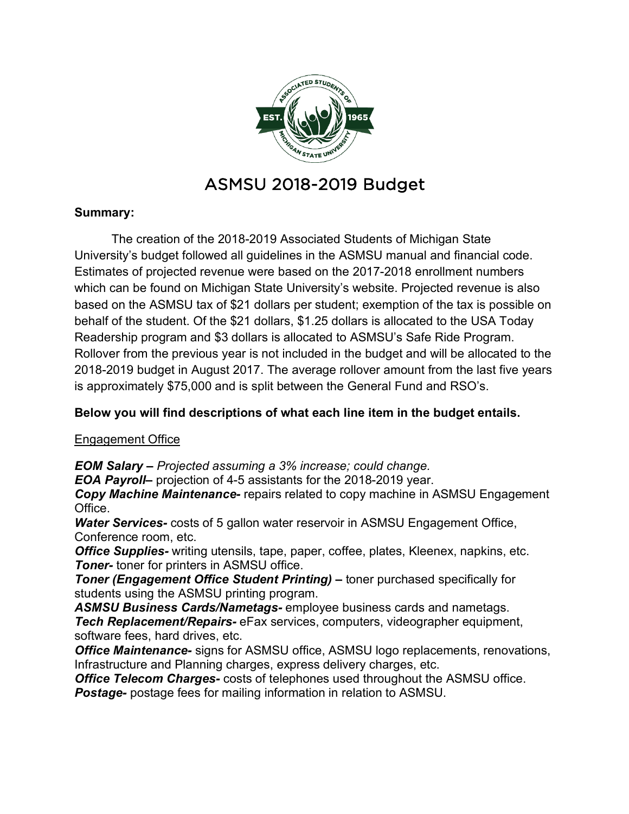

# ASMSU 2018-2019 Budget

# **Summary:**

The creation of the 2018-2019 Associated Students of Michigan State University's budget followed all guidelines in the ASMSU manual and financial code. Estimates of projected revenue were based on the 2017-2018 enrollment numbers which can be found on Michigan State University's website. Projected revenue is also based on the ASMSU tax of \$21 dollars per student; exemption of the tax is possible on behalf of the student. Of the \$21 dollars, \$1.25 dollars is allocated to the USA Today Readership program and \$3 dollars is allocated to ASMSU's Safe Ride Program. Rollover from the previous year is not included in the budget and will be allocated to the 2018-2019 budget in August 2017. The average rollover amount from the last five years is approximately \$75,000 and is split between the General Fund and RSO's.

# **Below you will find descriptions of what each line item in the budget entails.**

# Engagement Office

*EOM Salary – Projected assuming a 3% increase; could change.* 

*EOA Payroll–* projection of 4-5 assistants for the 2018-2019 year.

*Copy Machine Maintenance-* repairs related to copy machine in ASMSU Engagement Office.

*Water Services-* costs of 5 gallon water reservoir in ASMSU Engagement Office, Conference room, etc.

*Office Supplies-* writing utensils, tape, paper, coffee, plates, Kleenex, napkins, etc. *Toner-* toner for printers in ASMSU office.

*Toner (Engagement Office Student Printing) –* toner purchased specifically for students using the ASMSU printing program.

*ASMSU Business Cards/Nametags-* employee business cards and nametags. *Tech Replacement/Repairs-* eFax services, computers, videographer equipment, software fees, hard drives, etc.

*Office Maintenance-* signs for ASMSU office, ASMSU logo replacements, renovations, Infrastructure and Planning charges, express delivery charges, etc.

*Office Telecom Charges-* costs of telephones used throughout the ASMSU office. *Postage-* postage fees for mailing information in relation to ASMSU.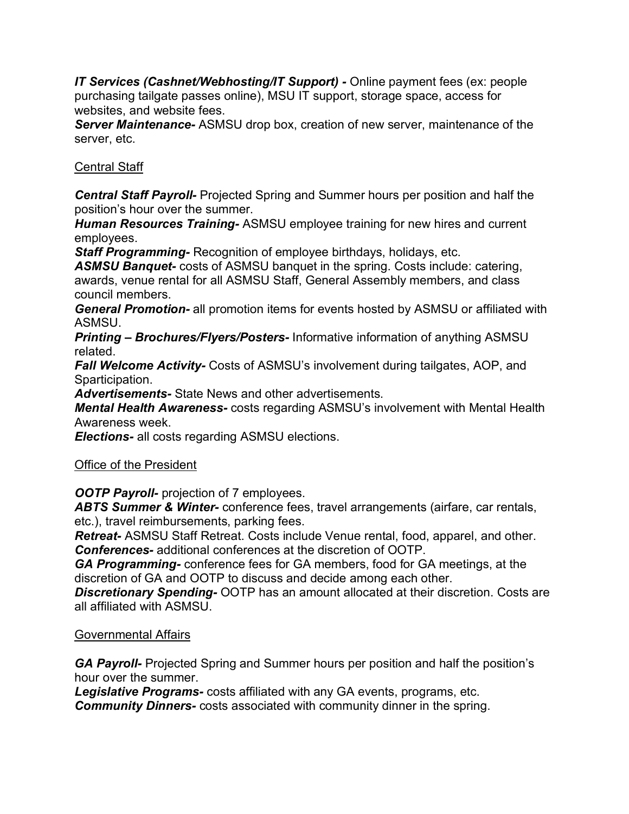*IT Services (Cashnet/Webhosting/IT Support) -* Online payment fees (ex: people purchasing tailgate passes online), MSU IT support, storage space, access for websites, and website fees.

*Server Maintenance-* ASMSU drop box, creation of new server, maintenance of the server, etc.

## Central Staff

*Central Staff Payroll-* Projected Spring and Summer hours per position and half the position's hour over the summer.

*Human Resources Training-* ASMSU employee training for new hires and current employees.

*Staff Programming-* Recognition of employee birthdays, holidays, etc.

*ASMSU Banquet-* costs of ASMSU banquet in the spring. Costs include: catering, awards, venue rental for all ASMSU Staff, General Assembly members, and class council members.

*General Promotion-* all promotion items for events hosted by ASMSU or affiliated with ASMSU.

*Printing – Brochures/Flyers/Posters-* Informative information of anything ASMSU related.

*Fall Welcome Activity-* Costs of ASMSU's involvement during tailgates, AOP, and Sparticipation.

*Advertisements-* State News and other advertisements.

*Mental Health Awareness-* costs regarding ASMSU's involvement with Mental Health Awareness week.

*Elections-* all costs regarding ASMSU elections.

## Office of the President

*OOTP Payroll-* projection of 7 employees.

*ABTS Summer & Winter-* conference fees, travel arrangements (airfare, car rentals, etc.), travel reimbursements, parking fees.

*Retreat-* ASMSU Staff Retreat. Costs include Venue rental, food, apparel, and other. *Conferences-* additional conferences at the discretion of OOTP.

*GA Programming-* conference fees for GA members, food for GA meetings, at the discretion of GA and OOTP to discuss and decide among each other.

*Discretionary Spending-* OOTP has an amount allocated at their discretion. Costs are all affiliated with ASMSU.

## Governmental Affairs

*GA Payroll-* Projected Spring and Summer hours per position and half the position's hour over the summer.

*Legislative Programs-* costs affiliated with any GA events, programs, etc. *Community Dinners-* costs associated with community dinner in the spring.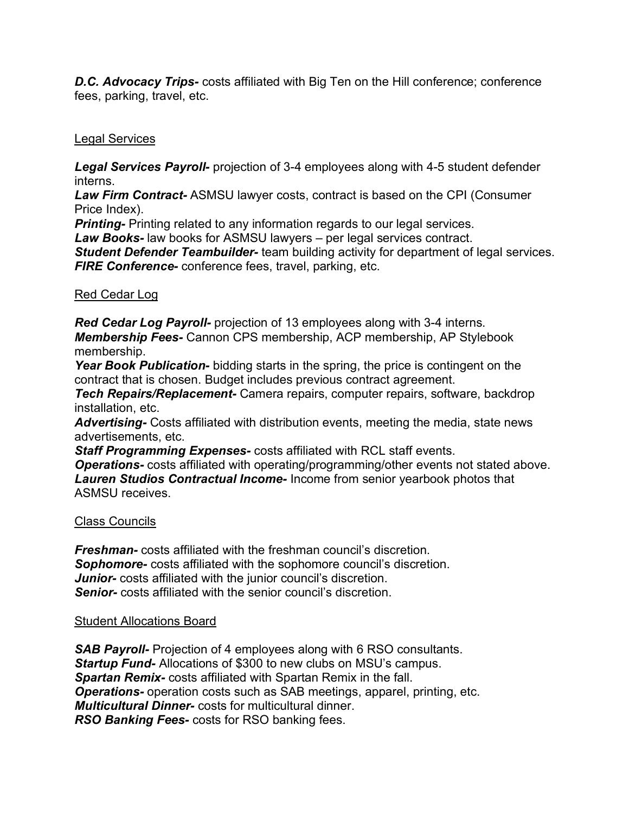*D.C. Advocacy Trips-* costs affiliated with Big Ten on the Hill conference; conference fees, parking, travel, etc.

## Legal Services

*Legal Services Payroll-* projection of 3-4 employees along with 4-5 student defender interns.

*Law Firm Contract-* ASMSU lawyer costs, contract is based on the CPI (Consumer Price Index).

*Printing-* Printing related to any information regards to our legal services.

*Law Books-* law books for ASMSU lawyers – per legal services contract.

*Student Defender Teambuilder-* team building activity for department of legal services. *FIRE Conference-* conference fees, travel, parking, etc.

Red Cedar Log

*Red Cedar Log Payroll-* projection of 13 employees along with 3-4 interns. *Membership Fees-* Cannon CPS membership, ACP membership, AP Stylebook membership.

*Year Book Publication-* bidding starts in the spring, the price is contingent on the contract that is chosen. Budget includes previous contract agreement.

*Tech Repairs/Replacement-* Camera repairs, computer repairs, software, backdrop installation, etc.

*Advertising-* Costs affiliated with distribution events, meeting the media, state news advertisements, etc.

*Staff Programming Expenses-* costs affiliated with RCL staff events.

*Operations-* costs affiliated with operating/programming/other events not stated above. *Lauren Studios Contractual Income-* Income from senior yearbook photos that ASMSU receives.

# Class Councils

*Freshman-* costs affiliated with the freshman council's discretion. *Sophomore-* costs affiliated with the sophomore council's discretion. *Junior-* costs affiliated with the junior council's discretion. *Senior-* costs affiliated with the senior council's discretion.

## Student Allocations Board

*SAB Payroll-* Projection of 4 employees along with 6 RSO consultants. *Startup Fund-* Allocations of \$300 to new clubs on MSU's campus. *Spartan Remix-* costs affiliated with Spartan Remix in the fall. *Operations-* operation costs such as SAB meetings, apparel, printing, etc. *Multicultural Dinner-* costs for multicultural dinner. *RSO Banking Fees-* costs for RSO banking fees.